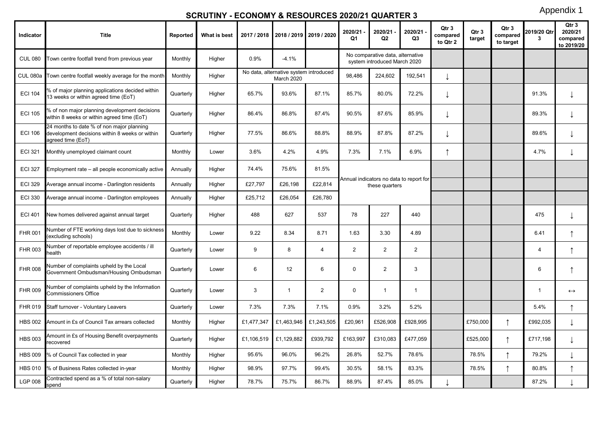## **SCRUTINY - ECONOMY & RESOURCES 2020/21 QUARTER 3**

Appendix 1

| Indicator      | <b>Title</b>                                                                                                     | Reported  | What is best | 2017 / 2018 |                                                      | 2018 / 2019 2019 / 2020 | 2020/21<br>Q1  | 2020/21<br>Q <sub>2</sub>                                        | 2020/21<br>Q <sub>3</sub> | Qtr 3<br>compared<br>to Qtr 2 | Qtr 3<br>target | Qtr 3<br>compared<br>to target | 2019/20 Qtr<br>3 | Otr <sub>3</sub><br>2020/21<br>compared<br>to 2019/20 |
|----------------|------------------------------------------------------------------------------------------------------------------|-----------|--------------|-------------|------------------------------------------------------|-------------------------|----------------|------------------------------------------------------------------|---------------------------|-------------------------------|-----------------|--------------------------------|------------------|-------------------------------------------------------|
| <b>CUL 080</b> | Town centre footfall trend from previous year                                                                    | Monthly   | Higher       | 0.9%        | $-4.1%$                                              |                         |                | No comparative data, alternative<br>system introduced March 2020 |                           |                               |                 |                                |                  |                                                       |
|                | CUL 080a Town centre footfall weekly average for the month                                                       | Monthly   | Higher       |             | No data, alternative system introduced<br>March 2020 |                         | 98,486         | 224,602                                                          | 192,541                   |                               |                 |                                |                  |                                                       |
| <b>ECI 104</b> | % of major planning applications decided within<br>13 weeks or within agreed time (EoT)                          | Quarterly | Higher       | 65.7%       | 93.6%                                                | 87.1%                   | 85.7%          | 80.0%                                                            | 72.2%                     |                               |                 |                                | 91.3%            | ↓                                                     |
| <b>ECI 105</b> | % of non major planning development decisions<br>within 8 weeks or within agreed time (EoT)                      | Quarterly | Higher       | 86.4%       | 86.8%                                                | 87.4%                   | 90.5%          | 87.6%                                                            | 85.9%                     |                               |                 |                                | 89.3%            | T                                                     |
| <b>ECI 106</b> | 24 months to date % of non major planning<br>development decisions within 8 weeks or within<br>agreed time (EoT) | Quarterly | Higher       | 77.5%       | 86.6%                                                | 88.8%                   | 88.9%          | 87.8%                                                            | 87.2%                     | ↓                             |                 |                                | 89.6%            | ↓                                                     |
| <b>ECI 321</b> | Monthly unemployed claimant count                                                                                | Monthly   | Lower        | 3.6%        | 4.2%                                                 | 4.9%                    | 7.3%           | 7.1%                                                             | 6.9%                      | ↑                             |                 |                                | 4.7%             | ↓                                                     |
| <b>ECI 327</b> | Employment rate - all people economically active                                                                 | Annually  | Higher       | 74.4%       | 75.6%                                                | 81.5%                   |                |                                                                  |                           |                               |                 |                                |                  |                                                       |
| <b>ECI 329</b> | Average annual income - Darlington residents                                                                     | Annually  | Higher       | £27,797     | £26,198                                              | £22,814                 |                | Annual indicators no data to report for<br>these quarters        |                           |                               |                 |                                |                  |                                                       |
| <b>ECI 330</b> | Average annual income - Darlington employees                                                                     | Annually  | Higher       | £25,712     | £26,054                                              | £26,780                 |                |                                                                  |                           |                               |                 |                                |                  |                                                       |
| <b>ECI 401</b> | New homes delivered against annual target                                                                        | Quarterly | Higher       | 488         | 627                                                  | 537                     | 78             | 227                                                              | 440                       |                               |                 |                                | 475              | T                                                     |
| <b>FHR 001</b> | Number of FTE working days lost due to sickness<br>(excluding schools)                                           | Monthly   | Lower        | 9.22        | 8.34                                                 | 8.71                    | 1.63           | 3.30                                                             | 4.89                      |                               |                 |                                | 6.41             | ↑                                                     |
| <b>FHR 003</b> | Number of reportable employee accidents / ill<br>health                                                          | Quarterly | Lower        | 9           | 8                                                    | 4                       | $\overline{2}$ | 2                                                                | 2                         |                               |                 |                                | $\overline{4}$   | $\uparrow$                                            |
| <b>FHR 008</b> | Number of complaints upheld by the Local<br>Government Ombudsman/Housing Ombudsman                               | Quarterly | Lower        | 6           | 12                                                   | 6                       | $\mathbf 0$    | $\overline{2}$                                                   | 3                         |                               |                 |                                | 6                | ↑                                                     |
| <b>FHR 009</b> | Number of complaints upheld by the Information<br>Commissioners Office                                           | Quarterly | Lower        | 3           | $\mathbf{1}$                                         | $\overline{2}$          | 0              | $\mathbf{1}$                                                     | $\mathbf{1}$              |                               |                 |                                | $\mathbf{1}$     | $\leftrightarrow$                                     |
| FHR 019        | Staff turnover - Voluntary Leavers                                                                               | Quarterly | Lower        | 7.3%        | 7.3%                                                 | 7.1%                    | 0.9%           | 3.2%                                                             | 5.2%                      |                               |                 |                                | 5.4%             | ↑                                                     |
| <b>HBS 002</b> | Amount in £s of Council Tax arrears collected                                                                    | Monthly   | Higher       | £1,477,347  | £1,463,946                                           | £1,243,505              | £20,961        | £526,908                                                         | £928,995                  |                               | £750,000        | $\uparrow$                     | £992,035         | T                                                     |
| <b>HBS 003</b> | Amount in £s of Housing Benefit overpayments<br>ecovered                                                         | Quarterly | Higher       | £1,106,519  | £1,129,882                                           | £939.792                | £163,997       | £310,083                                                         | £477,059                  |                               | £525.000        | $\uparrow$                     | £717.198         | T                                                     |
| <b>HBS 009</b> | % of Council Tax collected in year                                                                               | Monthly   | Higher       | 95.6%       | 96.0%                                                | 96.2%                   | 26.8%          | 52.7%                                                            | 78.6%                     |                               | 78.5%           | $\uparrow$                     | 79.2%            | $\downarrow$                                          |
| <b>HBS 010</b> | % of Business Rates collected in-year                                                                            | Monthly   | Higher       | 98.9%       | 97.7%                                                | 99.4%                   | 30.5%          | 58.1%                                                            | 83.3%                     |                               | 78.5%           | $\uparrow$                     | 80.8%            | $\uparrow$                                            |
| <b>LGP 008</b> | Contracted spend as a % of total non-salary<br>spend                                                             | Quarterly | Higher       | 78.7%       | 75.7%                                                | 86.7%                   | 88.9%          | 87.4%                                                            | 85.0%                     |                               |                 |                                | 87.2%            |                                                       |